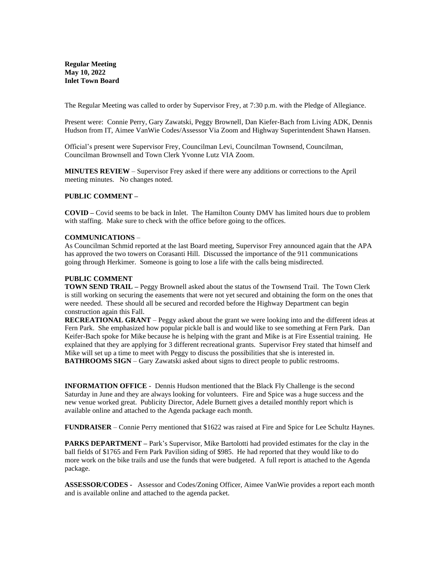**Regular Meeting May 10, 2022 Inlet Town Board**

The Regular Meeting was called to order by Supervisor Frey, at 7:30 p.m. with the Pledge of Allegiance.

Present were: Connie Perry, Gary Zawatski, Peggy Brownell, Dan Kiefer-Bach from Living ADK, Dennis Hudson from IT, Aimee VanWie Codes/Assessor Via Zoom and Highway Superintendent Shawn Hansen.

Official's present were Supervisor Frey, Councilman Levi, Councilman Townsend, Councilman, Councilman Brownsell and Town Clerk Yvonne Lutz VIA Zoom.

**MINUTES REVIEW** – Supervisor Frey asked if there were any additions or corrections to the April meeting minutes. No changes noted.

### **PUBLIC COMMENT –**

**COVID –** Covid seems to be back in Inlet. The Hamilton County DMV has limited hours due to problem with staffing. Make sure to check with the office before going to the offices.

### **COMMUNICATIONS** –

As Councilman Schmid reported at the last Board meeting, Supervisor Frey announced again that the APA has approved the two towers on Corasanti Hill. Discussed the importance of the 911 communications going through Herkimer. Someone is going to lose a life with the calls being misdirected.

### **PUBLIC COMMENT**

**TOWN SEND TRAIL –** Peggy Brownell asked about the status of the Townsend Trail. The Town Clerk is still working on securing the easements that were not yet secured and obtaining the form on the ones that were needed. These should all be secured and recorded before the Highway Department can begin construction again this Fall.

**RECREATIONAL GRANT** – Peggy asked about the grant we were looking into and the different ideas at Fern Park. She emphasized how popular pickle ball is and would like to see something at Fern Park. Dan Keifer-Bach spoke for Mike because he is helping with the grant and Mike is at Fire Essential training. He explained that they are applying for 3 different recreational grants. Supervisor Frey stated that himself and Mike will set up a time to meet with Peggy to discuss the possibilities that she is interested in. **BATHROOMS SIGN** – Gary Zawatski asked about signs to direct people to public restrooms.

**INFORMATION OFFICE** - Dennis Hudson mentioned that the Black Fly Challenge is the second Saturday in June and they are always looking for volunteers. Fire and Spice was a huge success and the new venue worked great. Publicity Director, Adele Burnett gives a detailed monthly report which is available online and attached to the Agenda package each month.

**FUNDRAISER** – Connie Perry mentioned that \$1622 was raised at Fire and Spice for Lee Schultz Haynes.

**PARKS DEPARTMENT –** Park's Supervisor, Mike Bartolotti had provided estimates for the clay in the ball fields of \$1765 and Fern Park Pavilion siding of \$985. He had reported that they would like to do more work on the bike trails and use the funds that were budgeted. A full report is attached to the Agenda package.

**ASSESSOR/CODES -** Assessor and Codes/Zoning Officer, Aimee VanWie provides a report each month and is available online and attached to the agenda packet.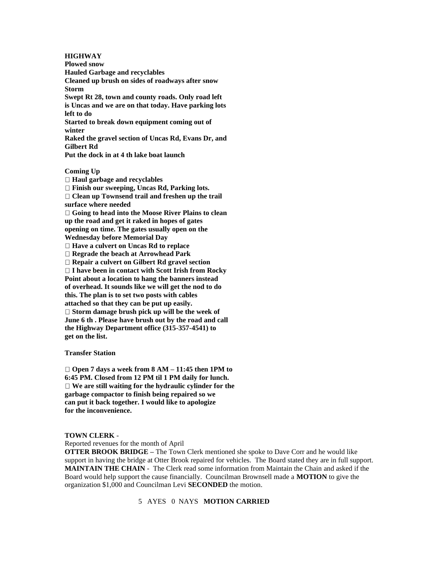### **HIGHWAY**

**Plowed snow Hauled Garbage and recyclables Cleaned up brush on sides of roadways after snow Storm Swept Rt 28, town and county roads. Only road left is Uncas and we are on that today. Have parking lots left to do Started to break down equipment coming out of winter Raked the gravel section of Uncas Rd, Evans Dr, and Gilbert Rd Put the dock in at 4 th lake boat launch**

#### **Coming Up**

**Haul garbage and recyclables**

**Finish our sweeping, Uncas Rd, Parking lots.**

**Clean up Townsend trail and freshen up the trail surface where needed**

**Going to head into the Moose River Plains to clean up the road and get it raked in hopes of gates opening on time. The gates usually open on the Wednesday before Memorial Day**

**Have a culvert on Uncas Rd to replace**

**Regrade the beach at Arrowhead Park**

**Repair a culvert on Gilbert Rd gravel section**

**I have been in contact with Scott Irish from Rocky**

**Point about a location to hang the banners instead of overhead. It sounds like we will get the nod to do this. The plan is to set two posts with cables attached so that they can be put up easily. Storm damage brush pick up will be the week of June 6 th . Please have brush out by the road and call the Highway Department office (315-357-4541) to get on the list.**

#### **Transfer Station**

**Open 7 days a week from 8 AM – 11:45 then 1PM to 6:45 PM. Closed from 12 PM til 1 PM daily for lunch. We are still waiting for the hydraulic cylinder for the garbage compactor to finish being repaired so we can put it back together. I would like to apologize for the inconvenience.**

#### **TOWN CLERK** -

Reported revenues for the month of April

**OTTER BROOK BRIDGE –** The Town Clerk mentioned she spoke to Dave Corr and he would like support in having the bridge at Otter Brook repaired for vehicles. The Board stated they are in full support. **MAINTAIN THE CHAIN** - The Clerk read some information from Maintain the Chain and asked if the Board would help support the cause financially. Councilman Brownsell made a **MOTION** to give the organization \$1,000 and Councilman Levi **SECONDED** the motion.

# 5 AYES 0 NAYS **MOTION CARRIED**